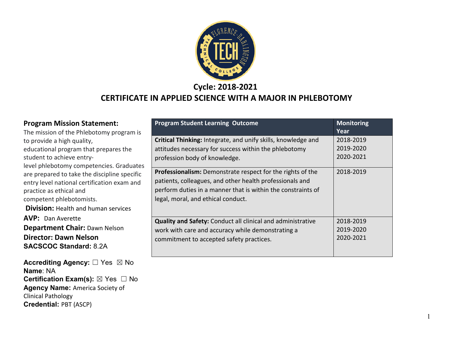

**Cycle: 2018-2021**

#### **CERTIFICATE IN APPLIED SCIENCE WITH A MAJOR IN PHLEBOTOMY**

| <b>Program Mission Statement:</b><br>The mission of the Phlebotomy program is                                                                                                                                                               | <b>Program Student Learning Outcome</b>                                                                                                                                                                                                                                           | <b>Monitoring</b><br>Year                        |
|---------------------------------------------------------------------------------------------------------------------------------------------------------------------------------------------------------------------------------------------|-----------------------------------------------------------------------------------------------------------------------------------------------------------------------------------------------------------------------------------------------------------------------------------|--------------------------------------------------|
| to provide a high quality,<br>educational program that prepares the<br>student to achieve entry-<br>level phlebotomy competencies. Graduates<br>are prepared to take the discipline specific<br>entry level national certification exam and | Critical Thinking: Integrate, and unify skills, knowledge and<br>attitudes necessary for success within the phlebotomy<br>profession body of knowledge.<br>Professionalism: Demonstrate respect for the rights of the<br>patients, colleagues, and other health professionals and | 2018-2019<br>2019-2020<br>2020-2021<br>2018-2019 |
| practice as ethical and<br>competent phlebotomists.<br><b>Division: Health and human services</b>                                                                                                                                           | perform duties in a manner that is within the constraints of<br>legal, moral, and ethical conduct.                                                                                                                                                                                |                                                  |
| <b>AVP:</b> Dan Averette<br><b>Department Chair: Dawn Nelson</b><br><b>Director: Dawn Nelson</b><br><b>SACSCOC Standard: 8.2A</b>                                                                                                           | <b>Quality and Safety: Conduct all clinical and administrative</b><br>work with care and accuracy while demonstrating a<br>commitment to accepted safety practices.                                                                                                               | 2018-2019<br>2019-2020<br>2020-2021              |
| <b>Accrediting Agency:</b> □ Yes ⊠ No                                                                                                                                                                                                       |                                                                                                                                                                                                                                                                                   |                                                  |

**Name**: NA

Clinical Pathology

**Credential:** PBT (ASCP)

**Certification Exam(s):** ⊠ Yes □ No **Agency Name:** America Society of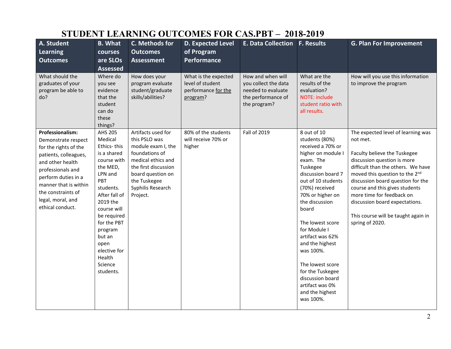## **STUDENT LEARNING OUTCOMES FOR CAS.PBT – 2018-2019**

| A. Student<br><b>Learning</b><br><b>Outcomes</b>                                                                                                                                                                                                         | <b>B.</b> What<br>courses<br>are SLOs<br><b>Assessed</b>                                                                                                                                                                                                                   | C. Methods for<br><b>Outcomes</b><br><b>Assessment</b>                                                                                                                                          | <b>D. Expected Level</b><br>of Program<br>Performance                       | E. Data Collection   F. Results                                                                       |                                                                                                                                                                                                                                                                                                                                                                                                                       | <b>G. Plan For Improvement</b>                                                                                                                                                                                                                                                                                                                                                        |
|----------------------------------------------------------------------------------------------------------------------------------------------------------------------------------------------------------------------------------------------------------|----------------------------------------------------------------------------------------------------------------------------------------------------------------------------------------------------------------------------------------------------------------------------|-------------------------------------------------------------------------------------------------------------------------------------------------------------------------------------------------|-----------------------------------------------------------------------------|-------------------------------------------------------------------------------------------------------|-----------------------------------------------------------------------------------------------------------------------------------------------------------------------------------------------------------------------------------------------------------------------------------------------------------------------------------------------------------------------------------------------------------------------|---------------------------------------------------------------------------------------------------------------------------------------------------------------------------------------------------------------------------------------------------------------------------------------------------------------------------------------------------------------------------------------|
| What should the<br>graduates of your<br>program be able to<br>do?                                                                                                                                                                                        | Where do<br>you see<br>evidence<br>that the<br>student<br>can do<br>these<br>things?                                                                                                                                                                                       | How does your<br>program evaluate<br>student/graduate<br>skills/abilities?                                                                                                                      | What is the expected<br>level of student<br>performance for the<br>program? | How and when will<br>you collect the data<br>needed to evaluate<br>the performance of<br>the program? | What are the<br>results of the<br>evaluation?<br>NOTE: include<br>student ratio with<br>all results.                                                                                                                                                                                                                                                                                                                  | How will you use this information<br>to improve the program                                                                                                                                                                                                                                                                                                                           |
| <b>Professionalism:</b><br>Demonstrate respect<br>for the rights of the<br>patients, colleagues,<br>and other health<br>professionals and<br>perform duties in a<br>manner that is within<br>the constraints of<br>legal, moral, and<br>ethical conduct. | <b>AHS 205</b><br>Medical<br>Ethics-this<br>is a shared<br>course with<br>the MED,<br>LPN and<br>PBT<br>students.<br>After fall of<br>2019 the<br>course will<br>be required<br>for the PBT<br>program<br>but an<br>open<br>elective for<br>Health<br>Science<br>students. | Artifacts used for<br>this PSLO was<br>module exam I, the<br>foundations of<br>medical ethics and<br>the first discussion<br>board question on<br>the Tuskegee<br>Syphilis Research<br>Project. | 80% of the students<br>will receive 70% or<br>higher                        | <b>Fall of 2019</b>                                                                                   | 8 out of 10<br>students (80%)<br>received a 70% or<br>higher on module I<br>exam. The<br>Tuskegee<br>discussion board 7<br>out of 10 students<br>(70%) received<br>70% or higher on<br>the discussion<br>board<br>The lowest score<br>for Module I<br>artifact was 62%<br>and the highest<br>was 100%.<br>The lowest score<br>for the Tuskegee<br>discussion board<br>artifact was 0%<br>and the highest<br>was 100%. | The expected level of learning was<br>not met.<br>Faculty believe the Tuskegee<br>discussion question is more<br>difficult than the others. We have<br>moved this question to the 2nd<br>discussion board question for the<br>course and this gives students<br>more time for feedback on<br>discussion board expectations.<br>This course will be taught again in<br>spring of 2020. |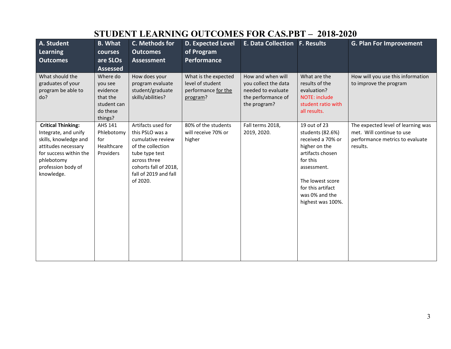|                                                                                                                                                                               |                                                                                   |                                                                                                                                                                                 | STUDENT LEARNING OUTCOMES FOR CAS.FBT – 2018-2020                           |                                                                                                       |                                                                                                                                                                                                       |                                                                                                                |
|-------------------------------------------------------------------------------------------------------------------------------------------------------------------------------|-----------------------------------------------------------------------------------|---------------------------------------------------------------------------------------------------------------------------------------------------------------------------------|-----------------------------------------------------------------------------|-------------------------------------------------------------------------------------------------------|-------------------------------------------------------------------------------------------------------------------------------------------------------------------------------------------------------|----------------------------------------------------------------------------------------------------------------|
| A. Student<br><b>Learning</b><br><b>Outcomes</b>                                                                                                                              | <b>B.</b> What<br>courses<br>are SLOs<br><b>Assessed</b>                          | C. Methods for<br><b>Outcomes</b><br><b>Assessment</b>                                                                                                                          | <b>D. Expected Level</b><br>of Program<br>Performance                       | E. Data Collection F. Results                                                                         |                                                                                                                                                                                                       | <b>G. Plan For Improvement</b>                                                                                 |
| What should the<br>graduates of your<br>program be able to<br>do?                                                                                                             | Where do<br>you see<br>evidence<br>that the<br>student can<br>do these<br>things? | How does your<br>program evaluate<br>student/graduate<br>skills/abilities?                                                                                                      | What is the expected<br>level of student<br>performance for the<br>program? | How and when will<br>you collect the data<br>needed to evaluate<br>the performance of<br>the program? | What are the<br>results of the<br>evaluation?<br>NOTE: include<br>student ratio with<br>all results.                                                                                                  | How will you use this information<br>to improve the program                                                    |
| <b>Critical Thinking:</b><br>Integrate, and unify<br>skills, knowledge and<br>attitudes necessary<br>for success within the<br>phlebotomy<br>profession body of<br>knowledge. | AHS 141<br>Phlebotomy<br>for<br>Healthcare<br>Providers                           | Artifacts used for<br>this PSLO was a<br>cumulative review<br>of the collection<br>tube type test<br>across three<br>cohorts fall of 2018,<br>fall of 2019 and fall<br>of 2020. | 80% of the students<br>will receive 70% or<br>higher                        | Fall terms 2018,<br>2019, 2020.                                                                       | 19 out of 23<br>students (82.6%)<br>received a 70% or<br>higher on the<br>artifacts chosen<br>for this<br>assessment.<br>The lowest score<br>for this artifact<br>was 0% and the<br>highest was 100%. | The expected level of learning was<br>met. Will continue to use<br>performance metrics to evaluate<br>results. |

#### **STUDENT LEADNING OUTCOMES FOR CAS BBT – 2018-2020**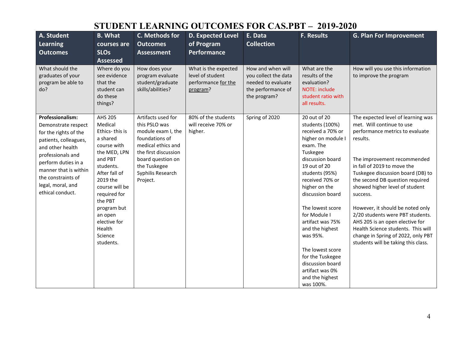# **STUDENT LEARNING OUTCOMES FOR CAS.PBT – 2019-2020**

| A. Student<br><b>Learning</b><br><b>Outcomes</b>                                                                                                                                                                                                  | <b>B.</b> What<br>courses are<br><b>SLOs</b><br><b>Assessed</b>                                                                                                                                                                                                      | C. Methods for<br><b>Outcomes</b><br><b>Assessment</b>                                                                                                                                          | <b>D. Expected Level</b><br>of Program<br><b>Performance</b>                | E. Data<br><b>Collection</b>                                                                          | <b>F. Results</b>                                                                                                                                                                                                                                                                                                                                                                                                       | <b>G. Plan For Improvement</b>                                                                                                                                                                                                                                                                                                                                                                                                                                                                                                   |
|---------------------------------------------------------------------------------------------------------------------------------------------------------------------------------------------------------------------------------------------------|----------------------------------------------------------------------------------------------------------------------------------------------------------------------------------------------------------------------------------------------------------------------|-------------------------------------------------------------------------------------------------------------------------------------------------------------------------------------------------|-----------------------------------------------------------------------------|-------------------------------------------------------------------------------------------------------|-------------------------------------------------------------------------------------------------------------------------------------------------------------------------------------------------------------------------------------------------------------------------------------------------------------------------------------------------------------------------------------------------------------------------|----------------------------------------------------------------------------------------------------------------------------------------------------------------------------------------------------------------------------------------------------------------------------------------------------------------------------------------------------------------------------------------------------------------------------------------------------------------------------------------------------------------------------------|
| What should the<br>graduates of your<br>program be able to<br>do?                                                                                                                                                                                 | Where do you<br>see evidence<br>that the<br>student can<br>do these<br>things?                                                                                                                                                                                       | How does your<br>program evaluate<br>student/graduate<br>skills/abilities?                                                                                                                      | What is the expected<br>level of student<br>performance for the<br>program? | How and when will<br>you collect the data<br>needed to evaluate<br>the performance of<br>the program? | What are the<br>results of the<br>evaluation?<br>NOTE: include<br>student ratio with<br>all results.                                                                                                                                                                                                                                                                                                                    | How will you use this information<br>to improve the program                                                                                                                                                                                                                                                                                                                                                                                                                                                                      |
| Professionalism:<br>Demonstrate respect<br>for the rights of the<br>patients, colleagues,<br>and other health<br>professionals and<br>perform duties in a<br>manner that is within<br>the constraints of<br>legal, moral, and<br>ethical conduct. | <b>AHS 205</b><br>Medical<br>Ethics-this is<br>a shared<br>course with<br>the MED, LPN<br>and PBT<br>students.<br>After fall of<br>2019 the<br>course will be<br>required for<br>the PBT<br>program but<br>an open<br>elective for<br>Health<br>Science<br>students. | Artifacts used for<br>this PSLO was<br>module exam I, the<br>foundations of<br>medical ethics and<br>the first discussion<br>board question on<br>the Tuskegee<br>Syphilis Research<br>Project. | 80% of the students<br>will receive 70% or<br>higher.                       | Spring of 2020                                                                                        | 20 out of 20<br>students (100%)<br>received a 70% or<br>higher on module I<br>exam. The<br>Tuskegee<br>discussion board<br>19 out of 20<br>students (95%)<br>received 70% or<br>higher on the<br>discussion board<br>The lowest score<br>for Module I<br>artifact was 75%<br>and the highest<br>was 95%.<br>The lowest score<br>for the Tuskegee<br>discussion board<br>artifact was 0%<br>and the highest<br>was 100%. | The expected level of learning was<br>met. Will continue to use<br>performance metrics to evaluate<br>results.<br>The improvement recommended<br>in fall of 2019 to move the<br>Tuskegee discussion board (DB) to<br>the second DB question required<br>showed higher level of student<br>success.<br>However, it should be noted only<br>2/20 students were PBT students.<br>AHS 205 is an open elective for<br>Health Science students. This will<br>change in Spring of 2022, only PBT<br>students will be taking this class. |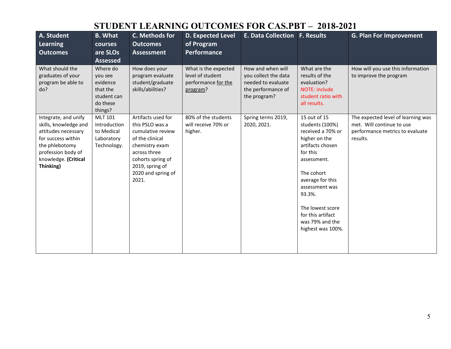# **STUDENT LEARNING OUTCOMES FOR CAS.PBT – 2018-2021**

| A. Student<br>Learning<br><b>Outcomes</b>                                                                                                                               | <b>B.</b> What<br><b>courses</b><br>are SLOs<br><b>Assessed</b>                   | C. Methods for<br><b>Outcomes</b><br><b>Assessment</b>                                                                                                                                 | <b>D. Expected Level</b><br>of Program<br><b>Performance</b>                | <b>E. Data Collection F. Results</b>                                                                  |                                                                                                                                                                                                                                                                     | <b>G. Plan For Improvement</b>                                                                                 |
|-------------------------------------------------------------------------------------------------------------------------------------------------------------------------|-----------------------------------------------------------------------------------|----------------------------------------------------------------------------------------------------------------------------------------------------------------------------------------|-----------------------------------------------------------------------------|-------------------------------------------------------------------------------------------------------|---------------------------------------------------------------------------------------------------------------------------------------------------------------------------------------------------------------------------------------------------------------------|----------------------------------------------------------------------------------------------------------------|
| What should the<br>graduates of your<br>program be able to<br>do?                                                                                                       | Where do<br>you see<br>evidence<br>that the<br>student can<br>do these<br>things? | How does your<br>program evaluate<br>student/graduate<br>skills/abilities?                                                                                                             | What is the expected<br>level of student<br>performance for the<br>program? | How and when will<br>you collect the data<br>needed to evaluate<br>the performance of<br>the program? | What are the<br>results of the<br>evaluation?<br>NOTE: include<br>student ratio with<br>all results.                                                                                                                                                                | How will you use this information<br>to improve the program                                                    |
| Integrate, and unify<br>skills, knowledge and<br>attitudes necessary<br>for success within<br>the phlebotomy<br>profession body of<br>knowledge. (Critical<br>Thinking) | <b>MLT 101</b><br>Introduction<br>to Medical<br>Laboratory<br>Technology.         | Artifacts used for<br>this PSLO was a<br>cumulative review<br>of the clinical<br>chemistry exam<br>across three<br>cohorts spring of<br>2019, spring of<br>2020 and spring of<br>2021. | 80% of the students<br>will receive 70% or<br>higher.                       | Spring terms 2019,<br>2020, 2021.                                                                     | 15 out of 15<br>students (100%)<br>received a 70% or<br>higher on the<br>artifacts chosen<br>for this<br>assessment.<br>The cohort<br>average for this<br>assessment was<br>93.3%.<br>The lowest score<br>for this artifact<br>was 79% and the<br>highest was 100%. | The expected level of learning was<br>met. Will continue to use<br>performance metrics to evaluate<br>results. |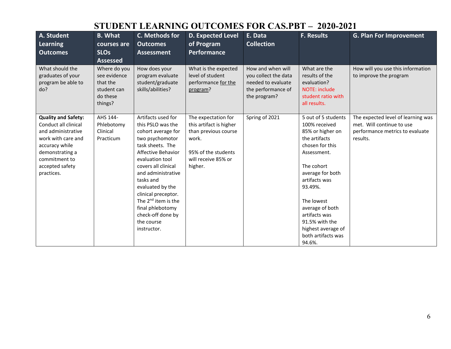# **STUDENT LEARNING OUTCOMES FOR CAS.PBT – 2020-2021**

| A. Student<br>Learning<br><b>Outcomes</b>                                                                                                                                             | <b>B.</b> What<br>courses are<br><b>SLOs</b><br><b>Assessed</b>                | C. Methods for<br><b>Outcomes</b><br><b>Assessment</b>                                                                                                                                                                                                                                                                                                      | <b>D. Expected Level</b><br>of Program<br>Performance                                                                                    | E. Data<br><b>Collection</b>                                                                          | <b>F. Results</b>                                                                                                                                                                                                                                                                                   | <b>G. Plan For Improvement</b>                                                                                 |
|---------------------------------------------------------------------------------------------------------------------------------------------------------------------------------------|--------------------------------------------------------------------------------|-------------------------------------------------------------------------------------------------------------------------------------------------------------------------------------------------------------------------------------------------------------------------------------------------------------------------------------------------------------|------------------------------------------------------------------------------------------------------------------------------------------|-------------------------------------------------------------------------------------------------------|-----------------------------------------------------------------------------------------------------------------------------------------------------------------------------------------------------------------------------------------------------------------------------------------------------|----------------------------------------------------------------------------------------------------------------|
| What should the<br>graduates of your<br>program be able to<br>do?                                                                                                                     | Where do you<br>see evidence<br>that the<br>student can<br>do these<br>things? | How does your<br>program evaluate<br>student/graduate<br>skills/abilities?                                                                                                                                                                                                                                                                                  | What is the expected<br>level of student<br>performance for the<br>program?                                                              | How and when will<br>you collect the data<br>needed to evaluate<br>the performance of<br>the program? | What are the<br>results of the<br>evaluation?<br>NOTE: include<br>student ratio with<br>all results.                                                                                                                                                                                                | How will you use this information<br>to improve the program                                                    |
| <b>Quality and Safety:</b><br>Conduct all clinical<br>and administrative<br>work with care and<br>accuracy while<br>demonstrating a<br>commitment to<br>accepted safety<br>practices. | AHS 144-<br>Phlebotomy<br>Clinical<br>Practicum                                | Artifacts used for<br>this PSLO was the<br>cohort average for<br>two psychomotor<br>task sheets. The<br>Affective Behavior<br>evaluation tool<br>covers all clinical<br>and administrative<br>tasks and<br>evaluated by the<br>clinical preceptor.<br>The 2 <sup>nd</sup> item is the<br>final phlebotomy<br>check-off done by<br>the course<br>instructor. | The expectation for<br>this artifact is higher<br>than previous course<br>work.<br>95% of the students<br>will receive 85% or<br>higher. | Spring of 2021                                                                                        | 5 out of 5 students<br>100% received<br>85% or higher on<br>the artifacts<br>chosen for this<br>Assessment.<br>The cohort<br>average for both<br>artifacts was<br>93.49%.<br>The lowest<br>average of both<br>artifacts was<br>91.5% with the<br>highest average of<br>both artifacts was<br>94.6%. | The expected level of learning was<br>met. Will continue to use<br>performance metrics to evaluate<br>results. |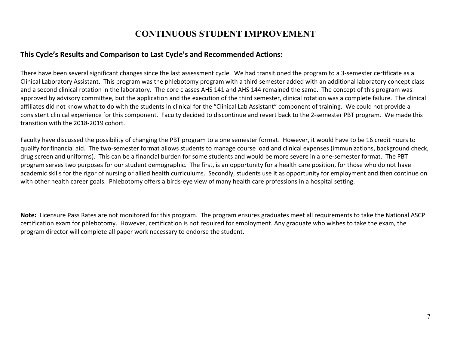#### **CONTINUOUS STUDENT IMPROVEMENT**

#### **This Cycle's Results and Comparison to Last Cycle's and Recommended Actions:**

There have been several significant changes since the last assessment cycle. We had transitioned the program to a 3-semester certificate as a Clinical Laboratory Assistant. This program was the phlebotomy program with a third semester added with an additional laboratory concept class and a second clinical rotation in the laboratory. The core classes AHS 141 and AHS 144 remained the same. The concept of this program was approved by advisory committee, but the application and the execution of the third semester, clinical rotation was a complete failure. The clinical affiliates did not know what to do with the students in clinical for the "Clinical Lab Assistant" component of training. We could not provide a consistent clinical experience for this component. Faculty decided to discontinue and revert back to the 2-semester PBT program. We made this transition with the 2018-2019 cohort.

Faculty have discussed the possibility of changing the PBT program to a one semester format. However, it would have to be 16 credit hours to qualify for financial aid. The two-semester format allows students to manage course load and clinical expenses (immunizations, background check, drug screen and uniforms). This can be a financial burden for some students and would be more severe in a one-semester format. The PBT program serves two purposes for our student demographic. The first, is an opportunity for a health care position, for those who do not have academic skills for the rigor of nursing or allied health curriculums. Secondly, students use it as opportunity for employment and then continue on with other health career goals. Phlebotomy offers a birds-eye view of many health care professions in a hospital setting.

**Note:** Licensure Pass Rates are not monitored for this program. The program ensures graduates meet all requirements to take the National ASCP certification exam for phlebotomy. However, certification is not required for employment. Any graduate who wishes to take the exam, the program director will complete all paper work necessary to endorse the student.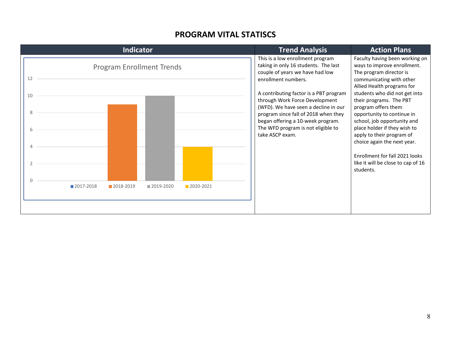#### **PROGRAM VITAL STATISCS**

| Indicator                                         | <b>Trend Analysis</b>                                                                                                                                                                                                                                                                          | <b>Action Plans</b>                                                                                                                                                                                                                                                 |
|---------------------------------------------------|------------------------------------------------------------------------------------------------------------------------------------------------------------------------------------------------------------------------------------------------------------------------------------------------|---------------------------------------------------------------------------------------------------------------------------------------------------------------------------------------------------------------------------------------------------------------------|
| <b>Program Enrollment Trends</b><br>12<br>10<br>8 | This is a low enrollment program<br>taking in only 16 students. The last<br>couple of years we have had low<br>enrollment numbers.<br>A contributing factor is a PBT program<br>through Work Force Development<br>(WFD). We have seen a decline in our<br>program since fall of 2018 when they | Faculty having been working on<br>ways to improve enrollment.<br>The program director is<br>communicating with other<br>Allied Health programs for<br>students who did not get into<br>their programs. The PBT<br>program offers them<br>opportunity to continue in |
|                                                   | began offering a 10-week program.<br>The WFD program is not eligible to<br>take ASCP exam.                                                                                                                                                                                                     | school, job opportunity and<br>place holder if they wish to<br>apply to their program of<br>choice again the next year.<br>Enrollment for fall 2021 looks<br>like it will be close to cap of 16<br>students.                                                        |
| 2017-2018<br>2018-2019<br>2019-2020<br>2020-2021  |                                                                                                                                                                                                                                                                                                |                                                                                                                                                                                                                                                                     |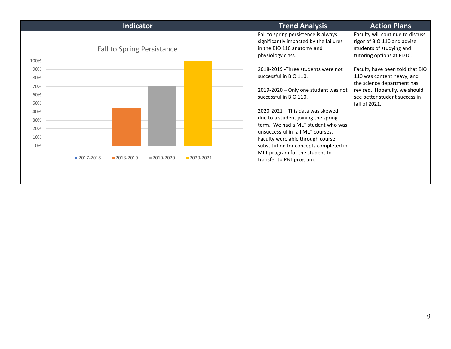| <b>Indicator</b>                                                      | <b>Trend Analysis</b>                                                                                                                                                                                                                                                | <b>Action Plans</b>                                                                                                                                                                                                                                                                       |
|-----------------------------------------------------------------------|----------------------------------------------------------------------------------------------------------------------------------------------------------------------------------------------------------------------------------------------------------------------|-------------------------------------------------------------------------------------------------------------------------------------------------------------------------------------------------------------------------------------------------------------------------------------------|
| <b>Fall to Spring Persistance</b><br>100%<br>90%<br>80%<br>70%<br>60% | Fall to spring persistence is always<br>significantly impacted by the failures<br>in the BIO 110 anatomy and<br>physiology class.<br>2018-2019 - Three students were not<br>successful in BIO 110.<br>2019-2020 - Only one student was not<br>successful in BIO 110. | Faculty will continue to discuss<br>rigor of BIO 110 and advise<br>students of studying and<br>tutoring options at FDTC.<br>Faculty have been told that BIO<br>110 was content heavy, and<br>the science department has<br>revised. Hopefully, we should<br>see better student success in |
| 50%<br>40%<br>30%<br>20%                                              | 2020-2021 - This data was skewed<br>due to a student joining the spring<br>term. We had a MLT student who was<br>unsuccessful in fall MLT courses.                                                                                                                   | fall of 2021.                                                                                                                                                                                                                                                                             |
| 10%<br>0%<br>2017-2018<br>2018-2019<br>■2019-2020<br>2020-2021        | Faculty were able through course<br>substitution for concepts completed in<br>MLT program for the student to<br>transfer to PBT program.                                                                                                                             |                                                                                                                                                                                                                                                                                           |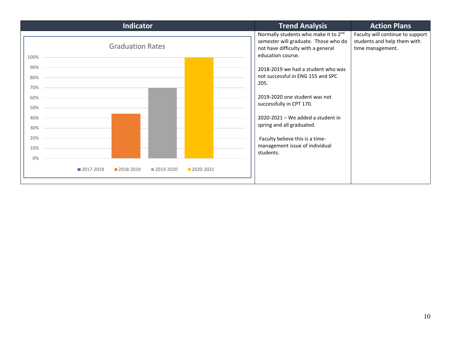| Indicator                                                         | <b>Trend Analysis</b><br><b>Action Plans</b>                                                                                                                                                                                                                                                     |
|-------------------------------------------------------------------|--------------------------------------------------------------------------------------------------------------------------------------------------------------------------------------------------------------------------------------------------------------------------------------------------|
| <b>Graduation Rates</b><br>100%                                   | Normally students who make it to 2 <sup>nd</sup><br>Faculty will continue to support<br>semester will graduate. Those who do<br>students and help them with<br>not have difficulty with a general<br>time management.<br>education course.                                                       |
| 90%<br>80%<br>70%<br>60%<br>50%<br>40%<br>30%<br>20%<br>10%<br>0% | 2018-2019 we had a student who was<br>not successful in ENG 155 and SPC<br>205.<br>2019-2020 one student was not<br>successfully in CPT 170.<br>2020-2021 - We added a student in<br>spring and all graduated.<br>Faculty believe this is a time-<br>management issue of individual<br>students. |
| 2020-2021<br>2017-2018<br>2018-2019<br>2019-2020                  |                                                                                                                                                                                                                                                                                                  |
|                                                                   |                                                                                                                                                                                                                                                                                                  |